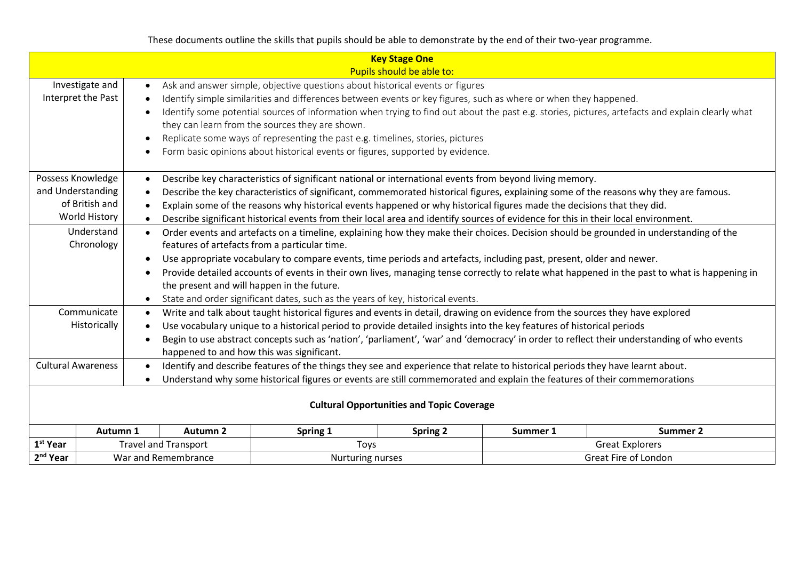These documents outline the skills that pupils should be able to demonstrate by the end of their two-year programme.

|                                                                                                       |                                                                                                                                                                                                                                                                                                                                                                                                                                                                                                                                                                                                                                                                                                                                                                                                                                                                                                                                                                                                                                                                                                                                                                                                                                                 |                                                                                                                                                                                                                                                                                                                                                                                                                                                                                                                                                                                           |                                                  | <b>Key Stage One</b><br>Pupils should be able to: |                                                                                                                                            |          |
|-------------------------------------------------------------------------------------------------------|-------------------------------------------------------------------------------------------------------------------------------------------------------------------------------------------------------------------------------------------------------------------------------------------------------------------------------------------------------------------------------------------------------------------------------------------------------------------------------------------------------------------------------------------------------------------------------------------------------------------------------------------------------------------------------------------------------------------------------------------------------------------------------------------------------------------------------------------------------------------------------------------------------------------------------------------------------------------------------------------------------------------------------------------------------------------------------------------------------------------------------------------------------------------------------------------------------------------------------------------------|-------------------------------------------------------------------------------------------------------------------------------------------------------------------------------------------------------------------------------------------------------------------------------------------------------------------------------------------------------------------------------------------------------------------------------------------------------------------------------------------------------------------------------------------------------------------------------------------|--------------------------------------------------|---------------------------------------------------|--------------------------------------------------------------------------------------------------------------------------------------------|----------|
|                                                                                                       | Investigate and<br>Interpret the Past                                                                                                                                                                                                                                                                                                                                                                                                                                                                                                                                                                                                                                                                                                                                                                                                                                                                                                                                                                                                                                                                                                                                                                                                           | Ask and answer simple, objective questions about historical events or figures<br>$\bullet$<br>Identify simple similarities and differences between events or key figures, such as where or when they happened.<br>Identify some potential sources of information when trying to find out about the past e.g. stories, pictures, artefacts and explain clearly what<br>they can learn from the sources they are shown.<br>Replicate some ways of representing the past e.g. timelines, stories, pictures<br>Form basic opinions about historical events or figures, supported by evidence. |                                                  |                                                   |                                                                                                                                            |          |
|                                                                                                       | Possess Knowledge<br>Describe key characteristics of significant national or international events from beyond living memory.<br>and Understanding<br>Describe the key characteristics of significant, commemorated historical figures, explaining some of the reasons why they are famous.<br>of British and<br>Explain some of the reasons why historical events happened or why historical figures made the decisions that they did.<br><b>World History</b><br>Describe significant historical events from their local area and identify sources of evidence for this in their local environment.<br>Understand<br>Order events and artefacts on a timeline, explaining how they make their choices. Decision should be grounded in understanding of the<br>$\bullet$<br>Chronology<br>features of artefacts from a particular time.<br>Use appropriate vocabulary to compare events, time periods and artefacts, including past, present, older and newer.<br>Provide detailed accounts of events in their own lives, managing tense correctly to relate what happened in the past to what is happening in<br>the present and will happen in the future.<br>State and order significant dates, such as the years of key, historical events. |                                                                                                                                                                                                                                                                                                                                                                                                                                                                                                                                                                                           |                                                  |                                                   |                                                                                                                                            |          |
| Communicate<br>Historically<br>happened to and how this was significant.<br><b>Cultural Awareness</b> |                                                                                                                                                                                                                                                                                                                                                                                                                                                                                                                                                                                                                                                                                                                                                                                                                                                                                                                                                                                                                                                                                                                                                                                                                                                 | Write and talk about taught historical figures and events in detail, drawing on evidence from the sources they have explored<br>Use vocabulary unique to a historical period to provide detailed insights into the key features of historical periods<br>Identify and describe features of the things they see and experience that relate to historical periods they have learnt about.<br>Understand why some historical figures or events are still commemorated and explain the features of their commemorations                                                                       | <b>Cultural Opportunities and Topic Coverage</b> |                                                   | Begin to use abstract concepts such as 'nation', 'parliament', 'war' and 'democracy' in order to reflect their understanding of who events |          |
|                                                                                                       | Autumn 1                                                                                                                                                                                                                                                                                                                                                                                                                                                                                                                                                                                                                                                                                                                                                                                                                                                                                                                                                                                                                                                                                                                                                                                                                                        | Autumn <sub>2</sub>                                                                                                                                                                                                                                                                                                                                                                                                                                                                                                                                                                       | Spring 1                                         | <b>Spring 2</b>                                   | Summer 1                                                                                                                                   | Summer 2 |
| $1st$ Year<br>2 <sup>nd</sup> Year                                                                    |                                                                                                                                                                                                                                                                                                                                                                                                                                                                                                                                                                                                                                                                                                                                                                                                                                                                                                                                                                                                                                                                                                                                                                                                                                                 | <b>Travel and Transport</b><br>War and Remembrance                                                                                                                                                                                                                                                                                                                                                                                                                                                                                                                                        | Toys<br>Nurturing nurses                         |                                                   | <b>Great Explorers</b><br>Great Fire of London                                                                                             |          |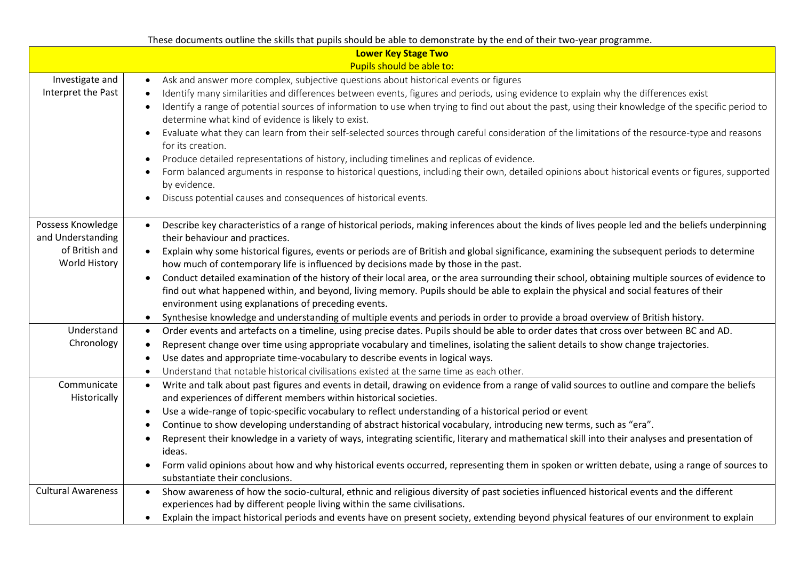|                                                                                  | These documents outline the skills that pupils should be able to demonstrate by the end of their two-year programme.                                                                                                                                                                                                                                                                                                                                                                                                                                                                                                                                                                                                                                                                                                                                                                                                                                   |
|----------------------------------------------------------------------------------|--------------------------------------------------------------------------------------------------------------------------------------------------------------------------------------------------------------------------------------------------------------------------------------------------------------------------------------------------------------------------------------------------------------------------------------------------------------------------------------------------------------------------------------------------------------------------------------------------------------------------------------------------------------------------------------------------------------------------------------------------------------------------------------------------------------------------------------------------------------------------------------------------------------------------------------------------------|
|                                                                                  | <b>Lower Key Stage Two</b>                                                                                                                                                                                                                                                                                                                                                                                                                                                                                                                                                                                                                                                                                                                                                                                                                                                                                                                             |
|                                                                                  | Pupils should be able to:                                                                                                                                                                                                                                                                                                                                                                                                                                                                                                                                                                                                                                                                                                                                                                                                                                                                                                                              |
| Investigate and<br>Interpret the Past                                            | Ask and answer more complex, subjective questions about historical events or figures<br>Identify many similarities and differences between events, figures and periods, using evidence to explain why the differences exist<br>Identify a range of potential sources of information to use when trying to find out about the past, using their knowledge of the specific period to<br>determine what kind of evidence is likely to exist.<br>Evaluate what they can learn from their self-selected sources through careful consideration of the limitations of the resource-type and reasons<br>for its creation.                                                                                                                                                                                                                                                                                                                                      |
|                                                                                  | Produce detailed representations of history, including timelines and replicas of evidence.<br>$\bullet$<br>Form balanced arguments in response to historical questions, including their own, detailed opinions about historical events or figures, supported<br>by evidence.<br>Discuss potential causes and consequences of historical events.                                                                                                                                                                                                                                                                                                                                                                                                                                                                                                                                                                                                        |
| Possess Knowledge<br>and Understanding<br>of British and<br><b>World History</b> | Describe key characteristics of a range of historical periods, making inferences about the kinds of lives people led and the beliefs underpinning<br>$\bullet$<br>their behaviour and practices.<br>Explain why some historical figures, events or periods are of British and global significance, examining the subsequent periods to determine<br>$\bullet$<br>how much of contemporary life is influenced by decisions made by those in the past.<br>Conduct detailed examination of the history of their local area, or the area surrounding their school, obtaining multiple sources of evidence to<br>find out what happened within, and beyond, living memory. Pupils should be able to explain the physical and social features of their<br>environment using explanations of preceding events.<br>Synthesise knowledge and understanding of multiple events and periods in order to provide a broad overview of British history.<br>$\bullet$ |
| Understand<br>Chronology                                                         | Order events and artefacts on a timeline, using precise dates. Pupils should be able to order dates that cross over between BC and AD.<br>$\bullet$<br>Represent change over time using appropriate vocabulary and timelines, isolating the salient details to show change trajectories.<br>$\bullet$<br>Use dates and appropriate time-vocabulary to describe events in logical ways.<br>Understand that notable historical civilisations existed at the same time as each other.<br>$\bullet$                                                                                                                                                                                                                                                                                                                                                                                                                                                        |
| Communicate<br>Historically                                                      | Write and talk about past figures and events in detail, drawing on evidence from a range of valid sources to outline and compare the beliefs<br>$\bullet$<br>and experiences of different members within historical societies.<br>Use a wide-range of topic-specific vocabulary to reflect understanding of a historical period or event<br>$\bullet$<br>Continue to show developing understanding of abstract historical vocabulary, introducing new terms, such as "era".<br>Represent their knowledge in a variety of ways, integrating scientific, literary and mathematical skill into their analyses and presentation of<br>ideas.<br>Form valid opinions about how and why historical events occurred, representing them in spoken or written debate, using a range of sources to<br>substantiate their conclusions.                                                                                                                            |
| <b>Cultural Awareness</b>                                                        | Show awareness of how the socio-cultural, ethnic and religious diversity of past societies influenced historical events and the different<br>$\bullet$<br>experiences had by different people living within the same civilisations.<br>Explain the impact historical periods and events have on present society, extending beyond physical features of our environment to explain<br>$\bullet$                                                                                                                                                                                                                                                                                                                                                                                                                                                                                                                                                         |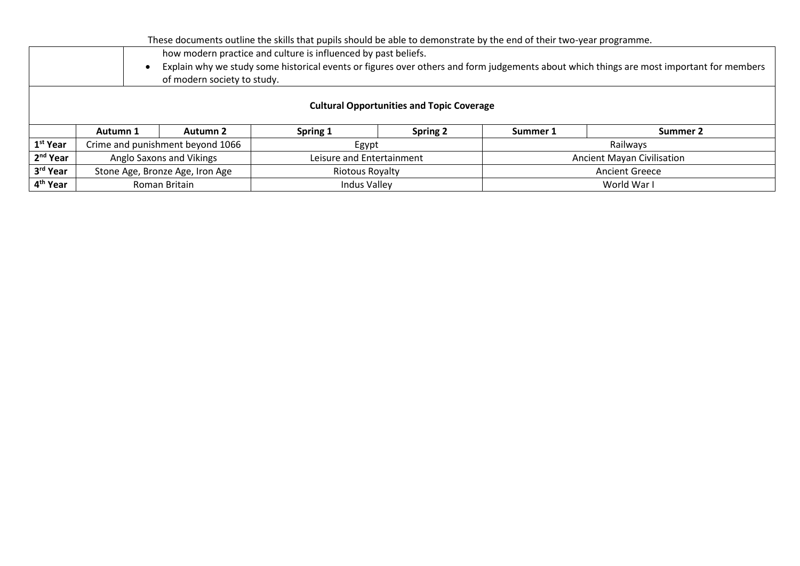|                      | These documents outline the skills that pupils should be able to demonstrate by the end of their two-year programme.                                                    |                 |                           |                 |                                   |          |  |  |
|----------------------|-------------------------------------------------------------------------------------------------------------------------------------------------------------------------|-----------------|---------------------------|-----------------|-----------------------------------|----------|--|--|
|                      | how modern practice and culture is influenced by past beliefs.                                                                                                          |                 |                           |                 |                                   |          |  |  |
|                      | Explain why we study some historical events or figures over others and form judgements about which things are most important for members<br>of modern society to study. |                 |                           |                 |                                   |          |  |  |
|                      | <b>Cultural Opportunities and Topic Coverage</b>                                                                                                                        |                 |                           |                 |                                   |          |  |  |
|                      | Autumn 1                                                                                                                                                                | <b>Autumn 2</b> | Spring 1                  | <b>Spring 2</b> | Summer 1                          | Summer 2 |  |  |
| 1 <sup>st</sup> Year | Crime and punishment beyond 1066                                                                                                                                        |                 | Egypt                     |                 | Railways                          |          |  |  |
| 2 <sup>nd</sup> Year | Anglo Saxons and Vikings                                                                                                                                                |                 | Leisure and Entertainment |                 | <b>Ancient Mayan Civilisation</b> |          |  |  |
| 3rd Year             | Stone Age, Bronze Age, Iron Age                                                                                                                                         |                 | Riotous Royalty           |                 | <b>Ancient Greece</b>             |          |  |  |
| 4 <sup>th</sup> Year | Roman Britain                                                                                                                                                           |                 | <b>Indus Valley</b>       |                 | World War I                       |          |  |  |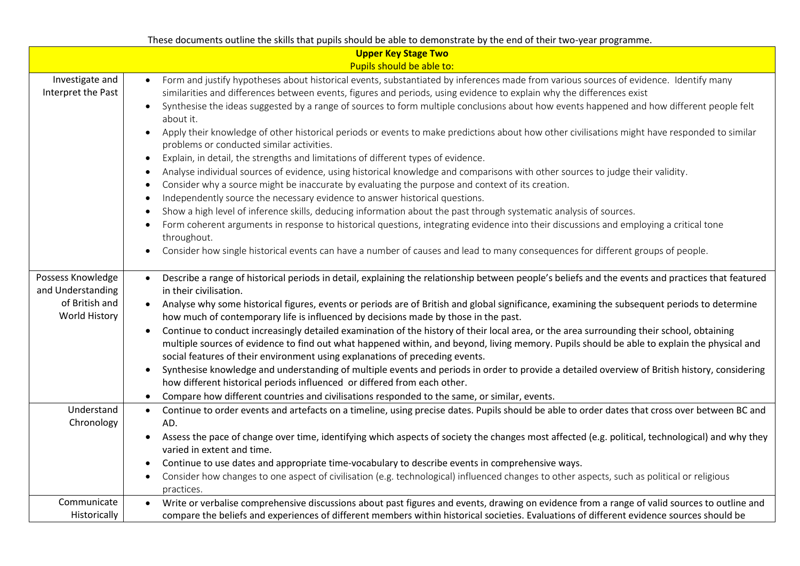|                                                                           | These documents outline the skills that pupils should be able to demonstrate by the end of their two-year programme.                                                                                                                                                                                                                                                                                                                                                                                                                                                                                                                                                                                                                                                                                                                                                                                                                                                                                                                                                                                                                                                                                                                                                                                                                                                                                                                               |
|---------------------------------------------------------------------------|----------------------------------------------------------------------------------------------------------------------------------------------------------------------------------------------------------------------------------------------------------------------------------------------------------------------------------------------------------------------------------------------------------------------------------------------------------------------------------------------------------------------------------------------------------------------------------------------------------------------------------------------------------------------------------------------------------------------------------------------------------------------------------------------------------------------------------------------------------------------------------------------------------------------------------------------------------------------------------------------------------------------------------------------------------------------------------------------------------------------------------------------------------------------------------------------------------------------------------------------------------------------------------------------------------------------------------------------------------------------------------------------------------------------------------------------------|
|                                                                           | <b>Upper Key Stage Two</b>                                                                                                                                                                                                                                                                                                                                                                                                                                                                                                                                                                                                                                                                                                                                                                                                                                                                                                                                                                                                                                                                                                                                                                                                                                                                                                                                                                                                                         |
|                                                                           | Pupils should be able to:                                                                                                                                                                                                                                                                                                                                                                                                                                                                                                                                                                                                                                                                                                                                                                                                                                                                                                                                                                                                                                                                                                                                                                                                                                                                                                                                                                                                                          |
| Investigate and<br>Interpret the Past                                     | Form and justify hypotheses about historical events, substantiated by inferences made from various sources of evidence. Identify many<br>similarities and differences between events, figures and periods, using evidence to explain why the differences exist<br>Synthesise the ideas suggested by a range of sources to form multiple conclusions about how events happened and how different people felt<br>about it.<br>Apply their knowledge of other historical periods or events to make predictions about how other civilisations might have responded to similar<br>problems or conducted similar activities.<br>Explain, in detail, the strengths and limitations of different types of evidence.<br>Analyse individual sources of evidence, using historical knowledge and comparisons with other sources to judge their validity.<br>Consider why a source might be inaccurate by evaluating the purpose and context of its creation.<br>Independently source the necessary evidence to answer historical questions.<br>Show a high level of inference skills, deducing information about the past through systematic analysis of sources.<br>Form coherent arguments in response to historical questions, integrating evidence into their discussions and employing a critical tone<br>throughout.<br>Consider how single historical events can have a number of causes and lead to many consequences for different groups of people. |
| Possess Knowledge<br>and Understanding<br>of British and<br>World History | Describe a range of historical periods in detail, explaining the relationship between people's beliefs and the events and practices that featured<br>in their civilisation.<br>Analyse why some historical figures, events or periods are of British and global significance, examining the subsequent periods to determine<br>$\bullet$<br>how much of contemporary life is influenced by decisions made by those in the past.<br>Continue to conduct increasingly detailed examination of the history of their local area, or the area surrounding their school, obtaining<br>$\bullet$<br>multiple sources of evidence to find out what happened within, and beyond, living memory. Pupils should be able to explain the physical and<br>social features of their environment using explanations of preceding events.<br>Synthesise knowledge and understanding of multiple events and periods in order to provide a detailed overview of British history, considering<br>$\bullet$<br>how different historical periods influenced or differed from each other.<br>Compare how different countries and civilisations responded to the same, or similar, events.<br>$\bullet$                                                                                                                                                                                                                                                                    |
| Understand<br>Chronology                                                  | Continue to order events and artefacts on a timeline, using precise dates. Pupils should be able to order dates that cross over between BC and<br>$\bullet$<br>AD.<br>Assess the pace of change over time, identifying which aspects of society the changes most affected (e.g. political, technological) and why they<br>$\bullet$<br>varied in extent and time.<br>Continue to use dates and appropriate time-vocabulary to describe events in comprehensive ways.<br>$\bullet$<br>Consider how changes to one aspect of civilisation (e.g. technological) influenced changes to other aspects, such as political or religious<br>$\bullet$<br>practices.                                                                                                                                                                                                                                                                                                                                                                                                                                                                                                                                                                                                                                                                                                                                                                                        |
| Communicate<br>Historically                                               | Write or verbalise comprehensive discussions about past figures and events, drawing on evidence from a range of valid sources to outline and<br>compare the beliefs and experiences of different members within historical societies. Evaluations of different evidence sources should be                                                                                                                                                                                                                                                                                                                                                                                                                                                                                                                                                                                                                                                                                                                                                                                                                                                                                                                                                                                                                                                                                                                                                          |